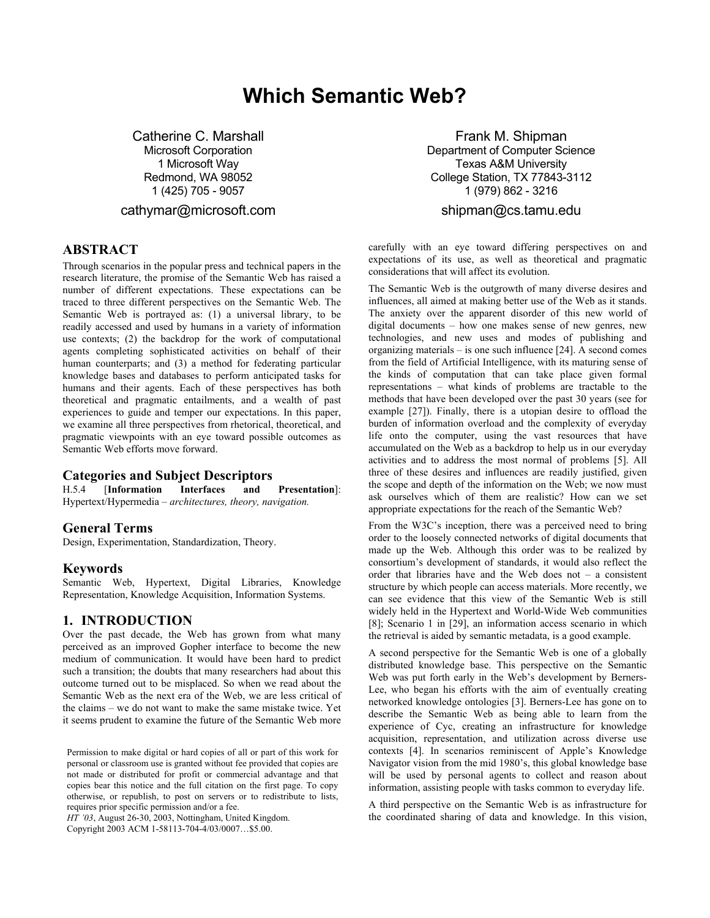# **Which Semantic Web?**

Catherine C. Marshall Microsoft Corporation 1 Microsoft Way Redmond, WA 98052 1 (425) 705 - 9057

cathymar@microsoft.com

## **ABSTRACT**

Through scenarios in the popular press and technical papers in the research literature, the promise of the Semantic Web has raised a number of different expectations. These expectations can be traced to three different perspectives on the Semantic Web. The Semantic Web is portrayed as: (1) a universal library, to be readily accessed and used by humans in a variety of information use contexts; (2) the backdrop for the work of computational agents completing sophisticated activities on behalf of their human counterparts; and (3) a method for federating particular knowledge bases and databases to perform anticipated tasks for humans and their agents. Each of these perspectives has both theoretical and pragmatic entailments, and a wealth of past experiences to guide and temper our expectations. In this paper, we examine all three perspectives from rhetorical, theoretical, and pragmatic viewpoints with an eye toward possible outcomes as Semantic Web efforts move forward.

#### **Categories and Subject Descriptors**

H.5.4 [**Information Interfaces and Presentation**]: Hypertext/Hypermedia – *architectures, theory, navigation.* 

## **General Terms**

Design, Experimentation, Standardization, Theory.

#### **Keywords**

Semantic Web, Hypertext, Digital Libraries, Knowledge Representation, Knowledge Acquisition, Information Systems.

#### **1. INTRODUCTION**

Over the past decade, the Web has grown from what many perceived as an improved Gopher interface to become the new medium of communication. It would have been hard to predict such a transition; the doubts that many researchers had about this outcome turned out to be misplaced. So when we read about the Semantic Web as the next era of the Web, we are less critical of the claims – we do not want to make the same mistake twice. Yet it seems prudent to examine the future of the Semantic Web more

Permission to make digital or hard copies of all or part of this work for personal or classroom use is granted without fee provided that copies are not made or distributed for profit or commercial advantage and that copies bear this notice and the full citation on the first page. To copy otherwise, or republish, to post on servers or to redistribute to lists, requires prior specific permission and/or a fee.

*HT '03*, August 26-30, 2003, Nottingham, United Kingdom. Copyright 2003 ACM 1-58113-704-4/03/0007…\$5.00.

Frank M. Shipman Department of Computer Science Texas A&M University College Station, TX 77843-3112 1 (979) 862 - 3216

shipman@cs.tamu.edu

carefully with an eye toward differing perspectives on and expectations of its use, as well as theoretical and pragmatic considerations that will affect its evolution.

The Semantic Web is the outgrowth of many diverse desires and influences, all aimed at making better use of the Web as it stands. The anxiety over the apparent disorder of this new world of digital documents – how one makes sense of new genres, new technologies, and new uses and modes of publishing and organizing materials – is one such influence [24]. A second comes from the field of Artificial Intelligence, with its maturing sense of the kinds of computation that can take place given formal representations – what kinds of problems are tractable to the methods that have been developed over the past 30 years (see for example [27]). Finally, there is a utopian desire to offload the burden of information overload and the complexity of everyday life onto the computer, using the vast resources that have accumulated on the Web as a backdrop to help us in our everyday activities and to address the most normal of problems [5]. All three of these desires and influences are readily justified, given the scope and depth of the information on the Web; we now must ask ourselves which of them are realistic? How can we set appropriate expectations for the reach of the Semantic Web?

From the W3C's inception, there was a perceived need to bring order to the loosely connected networks of digital documents that made up the Web. Although this order was to be realized by consortium's development of standards, it would also reflect the order that libraries have and the Web does not – a consistent structure by which people can access materials. More recently, we can see evidence that this view of the Semantic Web is still widely held in the Hypertext and World-Wide Web communities [8]; Scenario 1 in [29], an information access scenario in which the retrieval is aided by semantic metadata, is a good example.

A second perspective for the Semantic Web is one of a globally distributed knowledge base. This perspective on the Semantic Web was put forth early in the Web's development by Berners-Lee, who began his efforts with the aim of eventually creating networked knowledge ontologies [3]. Berners-Lee has gone on to describe the Semantic Web as being able to learn from the experience of Cyc, creating an infrastructure for knowledge acquisition, representation, and utilization across diverse use contexts [4]. In scenarios reminiscent of Apple's Knowledge Navigator vision from the mid 1980's, this global knowledge base will be used by personal agents to collect and reason about information, assisting people with tasks common to everyday life.

A third perspective on the Semantic Web is as infrastructure for the coordinated sharing of data and knowledge. In this vision,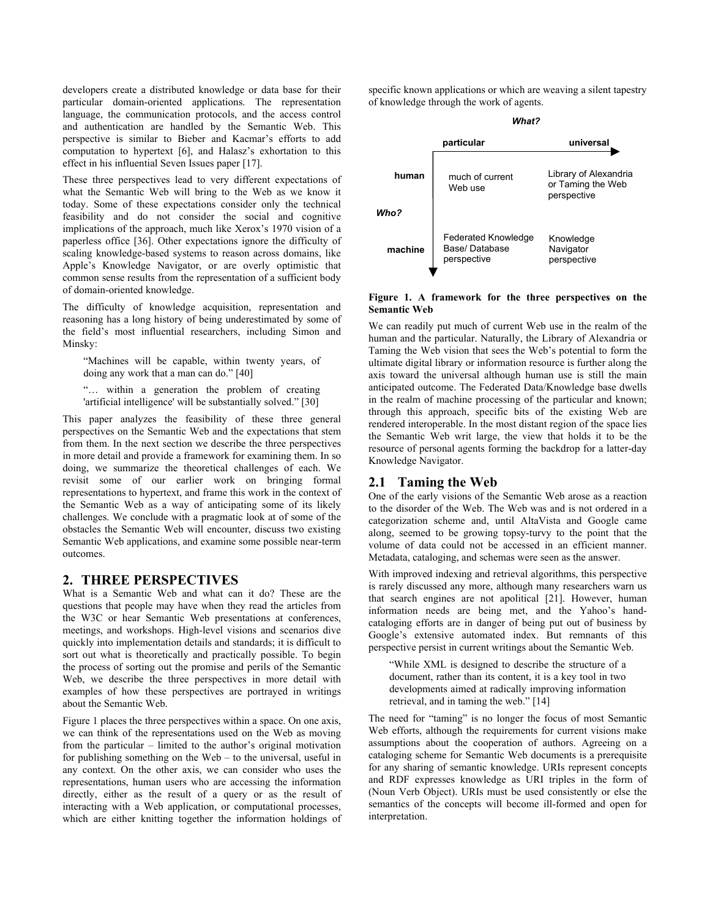developers create a distributed knowledge or data base for their particular domain-oriented applications. The representation language, the communication protocols, and the access control and authentication are handled by the Semantic Web. This perspective is similar to Bieber and Kacmar's efforts to add computation to hypertext [6], and Halasz's exhortation to this effect in his influential Seven Issues paper [17].

These three perspectives lead to very different expectations of what the Semantic Web will bring to the Web as we know it today. Some of these expectations consider only the technical feasibility and do not consider the social and cognitive implications of the approach, much like Xerox's 1970 vision of a paperless office [36]. Other expectations ignore the difficulty of scaling knowledge-based systems to reason across domains, like Apple's Knowledge Navigator, or are overly optimistic that common sense results from the representation of a sufficient body of domain-oriented knowledge.

The difficulty of knowledge acquisition, representation and reasoning has a long history of being underestimated by some of the field's most influential researchers, including Simon and Minsky:

"Machines will be capable, within twenty years, of doing any work that a man can do." [40]

"… within a generation the problem of creating 'artificial intelligence' will be substantially solved." [30]

This paper analyzes the feasibility of these three general perspectives on the Semantic Web and the expectations that stem from them. In the next section we describe the three perspectives in more detail and provide a framework for examining them. In so doing, we summarize the theoretical challenges of each. We revisit some of our earlier work on bringing formal representations to hypertext, and frame this work in the context of the Semantic Web as a way of anticipating some of its likely challenges. We conclude with a pragmatic look at of some of the obstacles the Semantic Web will encounter, discuss two existing Semantic Web applications, and examine some possible near-term outcomes.

#### **2. THREE PERSPECTIVES**

What is a Semantic Web and what can it do? These are the questions that people may have when they read the articles from the W3C or hear Semantic Web presentations at conferences, meetings, and workshops. High-level visions and scenarios dive quickly into implementation details and standards; it is difficult to sort out what is theoretically and practically possible. To begin the process of sorting out the promise and perils of the Semantic Web, we describe the three perspectives in more detail with examples of how these perspectives are portrayed in writings about the Semantic Web.

Figure 1 places the three perspectives within a space. On one axis, we can think of the representations used on the Web as moving from the particular – limited to the author's original motivation for publishing something on the Web – to the universal, useful in any context. On the other axis, we can consider who uses the representations, human users who are accessing the information directly, either as the result of a query or as the result of interacting with a Web application, or computational processes, which are either knitting together the information holdings of

specific known applications or which are weaving a silent tapestry of knowledge through the work of agents.



#### **Figure 1. A framework for the three perspectives on the Semantic Web**

We can readily put much of current Web use in the realm of the human and the particular. Naturally, the Library of Alexandria or Taming the Web vision that sees the Web's potential to form the ultimate digital library or information resource is further along the axis toward the universal although human use is still the main anticipated outcome. The Federated Data/Knowledge base dwells in the realm of machine processing of the particular and known; through this approach, specific bits of the existing Web are rendered interoperable. In the most distant region of the space lies the Semantic Web writ large, the view that holds it to be the resource of personal agents forming the backdrop for a latter-day Knowledge Navigator.

## **2.1 Taming the Web**

One of the early visions of the Semantic Web arose as a reaction to the disorder of the Web. The Web was and is not ordered in a categorization scheme and, until AltaVista and Google came along, seemed to be growing topsy-turvy to the point that the volume of data could not be accessed in an efficient manner. Metadata, cataloging, and schemas were seen as the answer.

With improved indexing and retrieval algorithms, this perspective is rarely discussed any more, although many researchers warn us that search engines are not apolitical [21]. However, human information needs are being met, and the Yahoo's handcataloging efforts are in danger of being put out of business by Google's extensive automated index. But remnants of this perspective persist in current writings about the Semantic Web.

"While XML is designed to describe the structure of a document, rather than its content, it is a key tool in two developments aimed at radically improving information retrieval, and in taming the web." [14]

The need for "taming" is no longer the focus of most Semantic Web efforts, although the requirements for current visions make assumptions about the cooperation of authors. Agreeing on a cataloging scheme for Semantic Web documents is a prerequisite for any sharing of semantic knowledge. URIs represent concepts and RDF expresses knowledge as URI triples in the form of (Noun Verb Object). URIs must be used consistently or else the semantics of the concepts will become ill-formed and open for interpretation.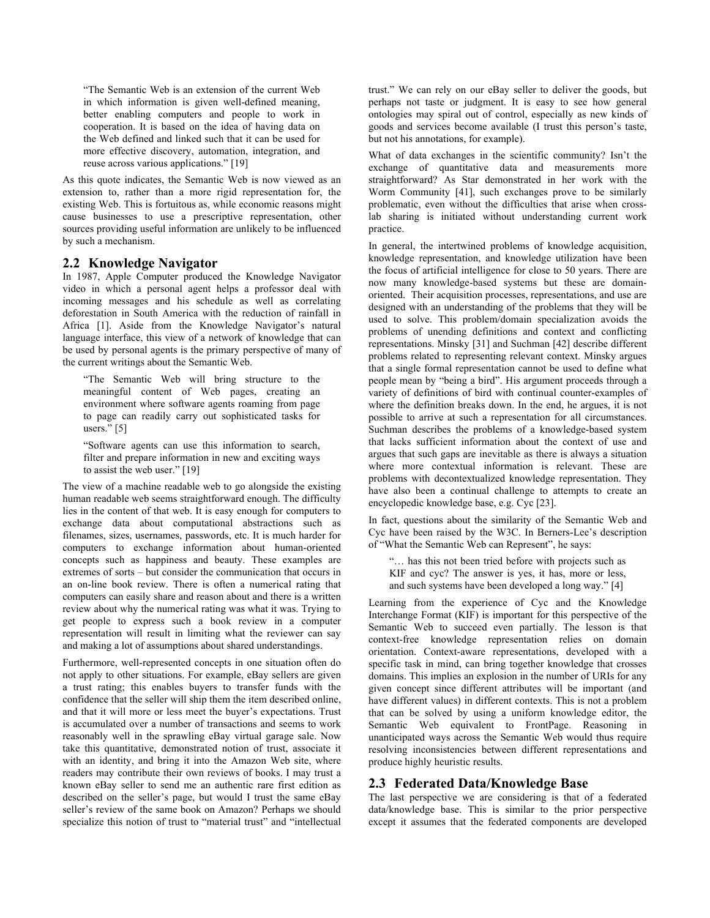"The Semantic Web is an extension of the current Web in which information is given well-defined meaning, better enabling computers and people to work in cooperation. It is based on the idea of having data on the Web defined and linked such that it can be used for more effective discovery, automation, integration, and reuse across various applications." [19]

As this quote indicates, the Semantic Web is now viewed as an extension to, rather than a more rigid representation for, the existing Web. This is fortuitous as, while economic reasons might cause businesses to use a prescriptive representation, other sources providing useful information are unlikely to be influenced by such a mechanism.

## **2.2 Knowledge Navigator**

In 1987, Apple Computer produced the Knowledge Navigator video in which a personal agent helps a professor deal with incoming messages and his schedule as well as correlating deforestation in South America with the reduction of rainfall in Africa [1]. Aside from the Knowledge Navigator's natural language interface, this view of a network of knowledge that can be used by personal agents is the primary perspective of many of the current writings about the Semantic Web.

"The Semantic Web will bring structure to the meaningful content of Web pages, creating an environment where software agents roaming from page to page can readily carry out sophisticated tasks for users." $[5]$ 

"Software agents can use this information to search, filter and prepare information in new and exciting ways to assist the web user." [19]

The view of a machine readable web to go alongside the existing human readable web seems straightforward enough. The difficulty lies in the content of that web. It is easy enough for computers to exchange data about computational abstractions such as filenames, sizes, usernames, passwords, etc. It is much harder for computers to exchange information about human-oriented concepts such as happiness and beauty. These examples are extremes of sorts – but consider the communication that occurs in an on-line book review. There is often a numerical rating that computers can easily share and reason about and there is a written review about why the numerical rating was what it was. Trying to get people to express such a book review in a computer representation will result in limiting what the reviewer can say and making a lot of assumptions about shared understandings.

Furthermore, well-represented concepts in one situation often do not apply to other situations. For example, eBay sellers are given a trust rating; this enables buyers to transfer funds with the confidence that the seller will ship them the item described online, and that it will more or less meet the buyer's expectations. Trust is accumulated over a number of transactions and seems to work reasonably well in the sprawling eBay virtual garage sale. Now take this quantitative, demonstrated notion of trust, associate it with an identity, and bring it into the Amazon Web site, where readers may contribute their own reviews of books. I may trust a known eBay seller to send me an authentic rare first edition as described on the seller's page, but would I trust the same eBay seller's review of the same book on Amazon? Perhaps we should specialize this notion of trust to "material trust" and "intellectual

trust." We can rely on our eBay seller to deliver the goods, but perhaps not taste or judgment. It is easy to see how general ontologies may spiral out of control, especially as new kinds of goods and services become available (I trust this person's taste, but not his annotations, for example).

What of data exchanges in the scientific community? Isn't the exchange of quantitative data and measurements more straightforward? As Star demonstrated in her work with the Worm Community [41], such exchanges prove to be similarly problematic, even without the difficulties that arise when crosslab sharing is initiated without understanding current work practice.

In general, the intertwined problems of knowledge acquisition, knowledge representation, and knowledge utilization have been the focus of artificial intelligence for close to 50 years. There are now many knowledge-based systems but these are domainoriented. Their acquisition processes, representations, and use are designed with an understanding of the problems that they will be used to solve. This problem/domain specialization avoids the problems of unending definitions and context and conflicting representations. Minsky [31] and Suchman [42] describe different problems related to representing relevant context. Minsky argues that a single formal representation cannot be used to define what people mean by "being a bird". His argument proceeds through a variety of definitions of bird with continual counter-examples of where the definition breaks down. In the end, he argues, it is not possible to arrive at such a representation for all circumstances. Suchman describes the problems of a knowledge-based system that lacks sufficient information about the context of use and argues that such gaps are inevitable as there is always a situation where more contextual information is relevant. These are problems with decontextualized knowledge representation. They have also been a continual challenge to attempts to create an encyclopedic knowledge base, e.g. Cyc [23].

In fact, questions about the similarity of the Semantic Web and Cyc have been raised by the W3C. In Berners-Lee's description of "What the Semantic Web can Represent", he says:

"… has this not been tried before with projects such as KIF and cyc? The answer is yes, it has, more or less, and such systems have been developed a long way." [4]

Learning from the experience of Cyc and the Knowledge Interchange Format (KIF) is important for this perspective of the Semantic Web to succeed even partially. The lesson is that context-free knowledge representation relies on domain orientation. Context-aware representations, developed with a specific task in mind, can bring together knowledge that crosses domains. This implies an explosion in the number of URIs for any given concept since different attributes will be important (and have different values) in different contexts. This is not a problem that can be solved by using a uniform knowledge editor, the Semantic Web equivalent to FrontPage. Reasoning in unanticipated ways across the Semantic Web would thus require resolving inconsistencies between different representations and produce highly heuristic results.

## **2.3 Federated Data/Knowledge Base**

The last perspective we are considering is that of a federated data/knowledge base. This is similar to the prior perspective except it assumes that the federated components are developed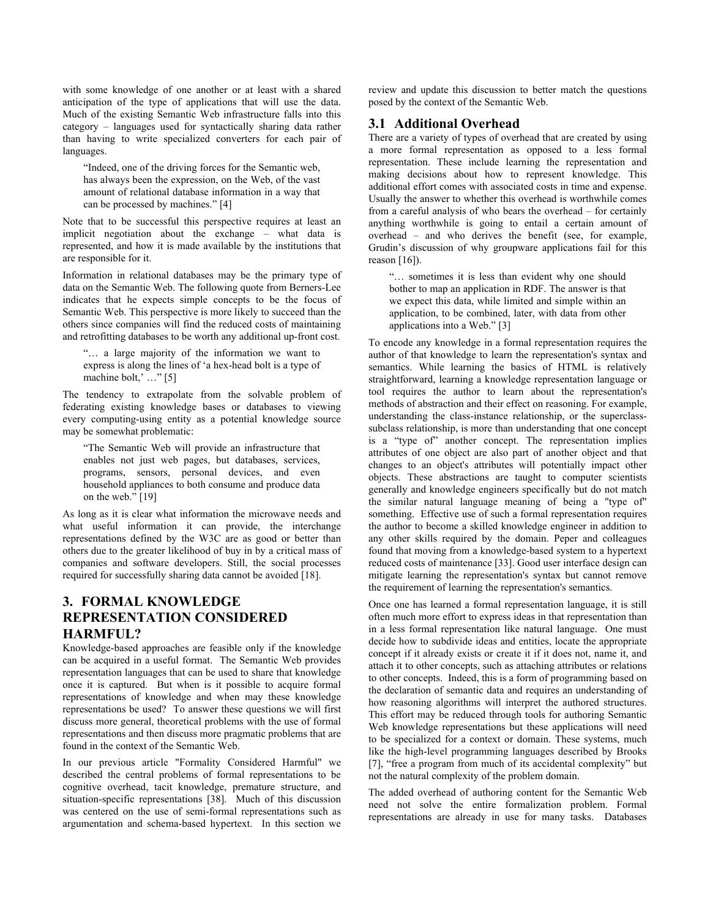with some knowledge of one another or at least with a shared anticipation of the type of applications that will use the data. Much of the existing Semantic Web infrastructure falls into this category – languages used for syntactically sharing data rather than having to write specialized converters for each pair of languages.

"Indeed, one of the driving forces for the Semantic web, has always been the expression, on the Web, of the vast amount of relational database information in a way that can be processed by machines." [4]

Note that to be successful this perspective requires at least an implicit negotiation about the exchange – what data is represented, and how it is made available by the institutions that are responsible for it.

Information in relational databases may be the primary type of data on the Semantic Web. The following quote from Berners-Lee indicates that he expects simple concepts to be the focus of Semantic Web. This perspective is more likely to succeed than the others since companies will find the reduced costs of maintaining and retrofitting databases to be worth any additional up-front cost.

"… a large majority of the information we want to express is along the lines of 'a hex-head bolt is a type of machine bolt,' ..." [5]

The tendency to extrapolate from the solvable problem of federating existing knowledge bases or databases to viewing every computing-using entity as a potential knowledge source may be somewhat problematic:

"The Semantic Web will provide an infrastructure that enables not just web pages, but databases, services, programs, sensors, personal devices, and even household appliances to both consume and produce data on the web." $\left[19\right]$ 

As long as it is clear what information the microwave needs and what useful information it can provide, the interchange representations defined by the W3C are as good or better than others due to the greater likelihood of buy in by a critical mass of companies and software developers. Still, the social processes required for successfully sharing data cannot be avoided [18].

## **3. FORMAL KNOWLEDGE REPRESENTATION CONSIDERED HARMFUL?**

Knowledge-based approaches are feasible only if the knowledge can be acquired in a useful format. The Semantic Web provides representation languages that can be used to share that knowledge once it is captured. But when is it possible to acquire formal representations of knowledge and when may these knowledge representations be used? To answer these questions we will first discuss more general, theoretical problems with the use of formal representations and then discuss more pragmatic problems that are found in the context of the Semantic Web.

In our previous article "Formality Considered Harmful" we described the central problems of formal representations to be cognitive overhead, tacit knowledge, premature structure, and situation-specific representations [38]. Much of this discussion was centered on the use of semi-formal representations such as argumentation and schema-based hypertext. In this section we

review and update this discussion to better match the questions posed by the context of the Semantic Web.

## **3.1 Additional Overhead**

There are a variety of types of overhead that are created by using a more formal representation as opposed to a less formal representation. These include learning the representation and making decisions about how to represent knowledge. This additional effort comes with associated costs in time and expense. Usually the answer to whether this overhead is worthwhile comes from a careful analysis of who bears the overhead – for certainly anything worthwhile is going to entail a certain amount of overhead – and who derives the benefit (see, for example, Grudin's discussion of why groupware applications fail for this reason  $[16]$ ).

"… sometimes it is less than evident why one should bother to map an application in RDF. The answer is that we expect this data, while limited and simple within an application, to be combined, later, with data from other applications into a Web." [3]

To encode any knowledge in a formal representation requires the author of that knowledge to learn the representation's syntax and semantics. While learning the basics of HTML is relatively straightforward, learning a knowledge representation language or tool requires the author to learn about the representation's methods of abstraction and their effect on reasoning. For example, understanding the class-instance relationship, or the superclasssubclass relationship, is more than understanding that one concept is a "type of" another concept. The representation implies attributes of one object are also part of another object and that changes to an object's attributes will potentially impact other objects. These abstractions are taught to computer scientists generally and knowledge engineers specifically but do not match the similar natural language meaning of being a "type of" something. Effective use of such a formal representation requires the author to become a skilled knowledge engineer in addition to any other skills required by the domain. Peper and colleagues found that moving from a knowledge-based system to a hypertext reduced costs of maintenance [33]. Good user interface design can mitigate learning the representation's syntax but cannot remove the requirement of learning the representation's semantics.

Once one has learned a formal representation language, it is still often much more effort to express ideas in that representation than in a less formal representation like natural language. One must decide how to subdivide ideas and entities, locate the appropriate concept if it already exists or create it if it does not, name it, and attach it to other concepts, such as attaching attributes or relations to other concepts. Indeed, this is a form of programming based on the declaration of semantic data and requires an understanding of how reasoning algorithms will interpret the authored structures. This effort may be reduced through tools for authoring Semantic Web knowledge representations but these applications will need to be specialized for a context or domain. These systems, much like the high-level programming languages described by Brooks [7], "free a program from much of its accidental complexity" but not the natural complexity of the problem domain.

The added overhead of authoring content for the Semantic Web need not solve the entire formalization problem. Formal representations are already in use for many tasks. Databases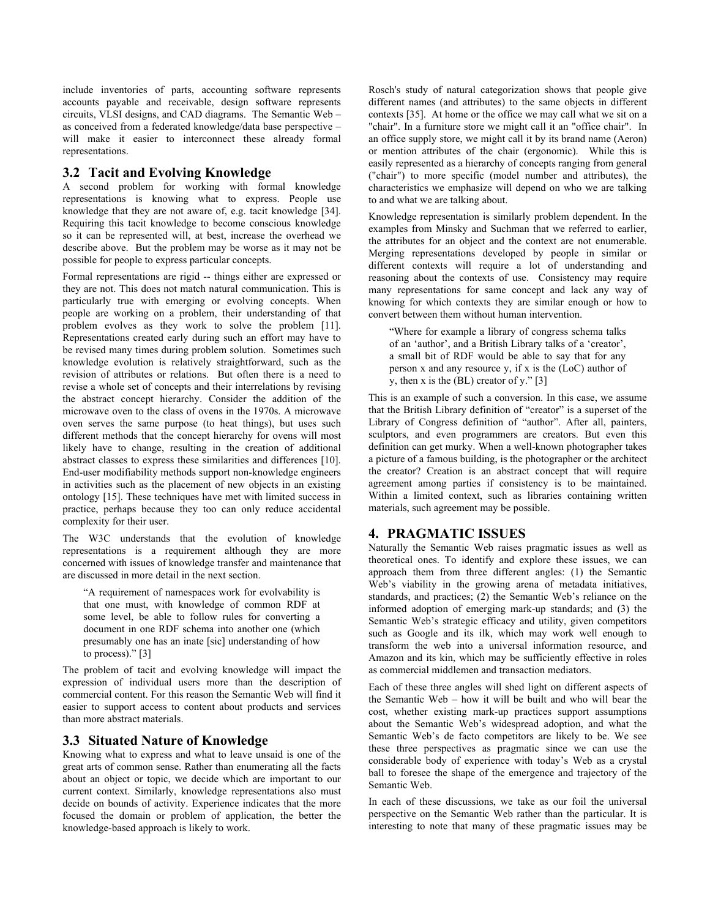include inventories of parts, accounting software represents accounts payable and receivable, design software represents circuits, VLSI designs, and CAD diagrams. The Semantic Web – as conceived from a federated knowledge/data base perspective – will make it easier to interconnect these already formal representations.

## **3.2 Tacit and Evolving Knowledge**

A second problem for working with formal knowledge representations is knowing what to express. People use knowledge that they are not aware of, e.g. tacit knowledge [34]. Requiring this tacit knowledge to become conscious knowledge so it can be represented will, at best, increase the overhead we describe above. But the problem may be worse as it may not be possible for people to express particular concepts.

Formal representations are rigid -- things either are expressed or they are not. This does not match natural communication. This is particularly true with emerging or evolving concepts. When people are working on a problem, their understanding of that problem evolves as they work to solve the problem [11]. Representations created early during such an effort may have to be revised many times during problem solution. Sometimes such knowledge evolution is relatively straightforward, such as the revision of attributes or relations. But often there is a need to revise a whole set of concepts and their interrelations by revising the abstract concept hierarchy. Consider the addition of the microwave oven to the class of ovens in the 1970s. A microwave oven serves the same purpose (to heat things), but uses such different methods that the concept hierarchy for ovens will most likely have to change, resulting in the creation of additional abstract classes to express these similarities and differences [10]. End-user modifiability methods support non-knowledge engineers in activities such as the placement of new objects in an existing ontology [15]. These techniques have met with limited success in practice, perhaps because they too can only reduce accidental complexity for their user.

The W3C understands that the evolution of knowledge representations is a requirement although they are more concerned with issues of knowledge transfer and maintenance that are discussed in more detail in the next section.

"A requirement of namespaces work for evolvability is that one must, with knowledge of common RDF at some level, be able to follow rules for converting a document in one RDF schema into another one (which presumably one has an inate [sic] understanding of how to process)." [3]

The problem of tacit and evolving knowledge will impact the expression of individual users more than the description of commercial content. For this reason the Semantic Web will find it easier to support access to content about products and services than more abstract materials.

## **3.3 Situated Nature of Knowledge**

Knowing what to express and what to leave unsaid is one of the great arts of common sense. Rather than enumerating all the facts about an object or topic, we decide which are important to our current context. Similarly, knowledge representations also must decide on bounds of activity. Experience indicates that the more focused the domain or problem of application, the better the knowledge-based approach is likely to work.

Rosch's study of natural categorization shows that people give different names (and attributes) to the same objects in different contexts [35]. At home or the office we may call what we sit on a "chair". In a furniture store we might call it an "office chair". In an office supply store, we might call it by its brand name (Aeron) or mention attributes of the chair (ergonomic). While this is easily represented as a hierarchy of concepts ranging from general ("chair") to more specific (model number and attributes), the characteristics we emphasize will depend on who we are talking to and what we are talking about.

Knowledge representation is similarly problem dependent. In the examples from Minsky and Suchman that we referred to earlier, the attributes for an object and the context are not enumerable. Merging representations developed by people in similar or different contexts will require a lot of understanding and reasoning about the contexts of use. Consistency may require many representations for same concept and lack any way of knowing for which contexts they are similar enough or how to convert between them without human intervention.

"Where for example a library of congress schema talks of an 'author', and a British Library talks of a 'creator', a small bit of RDF would be able to say that for any person x and any resource y, if x is the (LoC) author of y, then x is the (BL) creator of y." [3]

This is an example of such a conversion. In this case, we assume that the British Library definition of "creator" is a superset of the Library of Congress definition of "author". After all, painters, sculptors, and even programmers are creators. But even this definition can get murky. When a well-known photographer takes a picture of a famous building, is the photographer or the architect the creator? Creation is an abstract concept that will require agreement among parties if consistency is to be maintained. Within a limited context, such as libraries containing written materials, such agreement may be possible.

## **4. PRAGMATIC ISSUES**

Naturally the Semantic Web raises pragmatic issues as well as theoretical ones. To identify and explore these issues, we can approach them from three different angles: (1) the Semantic Web's viability in the growing arena of metadata initiatives, standards, and practices; (2) the Semantic Web's reliance on the informed adoption of emerging mark-up standards; and (3) the Semantic Web's strategic efficacy and utility, given competitors such as Google and its ilk, which may work well enough to transform the web into a universal information resource, and Amazon and its kin, which may be sufficiently effective in roles as commercial middlemen and transaction mediators.

Each of these three angles will shed light on different aspects of the Semantic Web – how it will be built and who will bear the cost, whether existing mark-up practices support assumptions about the Semantic Web's widespread adoption, and what the Semantic Web's de facto competitors are likely to be. We see these three perspectives as pragmatic since we can use the considerable body of experience with today's Web as a crystal ball to foresee the shape of the emergence and trajectory of the Semantic Web.

In each of these discussions, we take as our foil the universal perspective on the Semantic Web rather than the particular. It is interesting to note that many of these pragmatic issues may be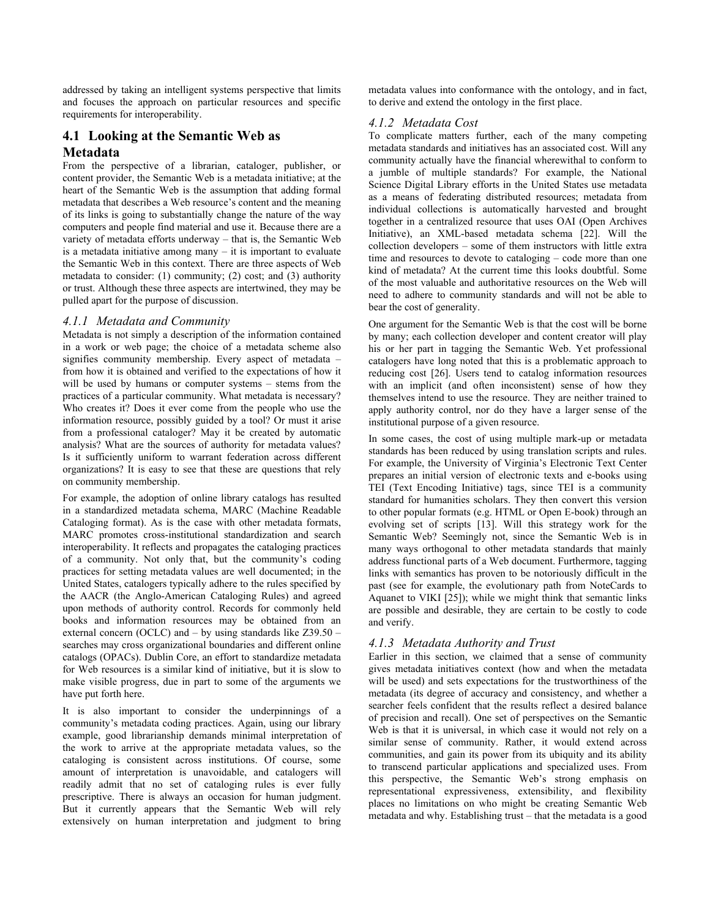addressed by taking an intelligent systems perspective that limits and focuses the approach on particular resources and specific requirements for interoperability.

## **4.1 Looking at the Semantic Web as Metadata**

From the perspective of a librarian, cataloger, publisher, or content provider, the Semantic Web is a metadata initiative; at the heart of the Semantic Web is the assumption that adding formal metadata that describes a Web resource's content and the meaning of its links is going to substantially change the nature of the way computers and people find material and use it. Because there are a variety of metadata efforts underway – that is, the Semantic Web is a metadata initiative among many  $-$  it is important to evaluate the Semantic Web in this context. There are three aspects of Web metadata to consider: (1) community; (2) cost; and (3) authority or trust. Although these three aspects are intertwined, they may be pulled apart for the purpose of discussion.

#### *4.1.1 Metadata and Community*

Metadata is not simply a description of the information contained in a work or web page; the choice of a metadata scheme also signifies community membership. Every aspect of metadata – from how it is obtained and verified to the expectations of how it will be used by humans or computer systems – stems from the practices of a particular community. What metadata is necessary? Who creates it? Does it ever come from the people who use the information resource, possibly guided by a tool? Or must it arise from a professional cataloger? May it be created by automatic analysis? What are the sources of authority for metadata values? Is it sufficiently uniform to warrant federation across different organizations? It is easy to see that these are questions that rely on community membership.

For example, the adoption of online library catalogs has resulted in a standardized metadata schema, MARC (Machine Readable Cataloging format). As is the case with other metadata formats, MARC promotes cross-institutional standardization and search interoperability. It reflects and propagates the cataloging practices of a community. Not only that, but the community's coding practices for setting metadata values are well documented; in the United States, catalogers typically adhere to the rules specified by the AACR (the Anglo-American Cataloging Rules) and agreed upon methods of authority control. Records for commonly held books and information resources may be obtained from an external concern (OCLC) and – by using standards like Z39.50 – searches may cross organizational boundaries and different online catalogs (OPACs). Dublin Core, an effort to standardize metadata for Web resources is a similar kind of initiative, but it is slow to make visible progress, due in part to some of the arguments we have put forth here.

It is also important to consider the underpinnings of a community's metadata coding practices. Again, using our library example, good librarianship demands minimal interpretation of the work to arrive at the appropriate metadata values, so the cataloging is consistent across institutions. Of course, some amount of interpretation is unavoidable, and catalogers will readily admit that no set of cataloging rules is ever fully prescriptive. There is always an occasion for human judgment. But it currently appears that the Semantic Web will rely extensively on human interpretation and judgment to bring metadata values into conformance with the ontology, and in fact, to derive and extend the ontology in the first place.

## *4.1.2 Metadata Cost*

To complicate matters further, each of the many competing metadata standards and initiatives has an associated cost. Will any community actually have the financial wherewithal to conform to a jumble of multiple standards? For example, the National Science Digital Library efforts in the United States use metadata as a means of federating distributed resources; metadata from individual collections is automatically harvested and brought together in a centralized resource that uses OAI (Open Archives Initiative), an XML-based metadata schema [22]. Will the collection developers – some of them instructors with little extra time and resources to devote to cataloging – code more than one kind of metadata? At the current time this looks doubtful. Some of the most valuable and authoritative resources on the Web will need to adhere to community standards and will not be able to bear the cost of generality.

One argument for the Semantic Web is that the cost will be borne by many; each collection developer and content creator will play his or her part in tagging the Semantic Web. Yet professional catalogers have long noted that this is a problematic approach to reducing cost [26]. Users tend to catalog information resources with an implicit (and often inconsistent) sense of how they themselves intend to use the resource. They are neither trained to apply authority control, nor do they have a larger sense of the institutional purpose of a given resource.

In some cases, the cost of using multiple mark-up or metadata standards has been reduced by using translation scripts and rules. For example, the University of Virginia's Electronic Text Center prepares an initial version of electronic texts and e-books using TEI (Text Encoding Initiative) tags, since TEI is a community standard for humanities scholars. They then convert this version to other popular formats (e.g. HTML or Open E-book) through an evolving set of scripts [13]. Will this strategy work for the Semantic Web? Seemingly not, since the Semantic Web is in many ways orthogonal to other metadata standards that mainly address functional parts of a Web document. Furthermore, tagging links with semantics has proven to be notoriously difficult in the past (see for example, the evolutionary path from NoteCards to Aquanet to VIKI [25]); while we might think that semantic links are possible and desirable, they are certain to be costly to code and verify.

## *4.1.3 Metadata Authority and Trust*

Earlier in this section, we claimed that a sense of community gives metadata initiatives context (how and when the metadata will be used) and sets expectations for the trustworthiness of the metadata (its degree of accuracy and consistency, and whether a searcher feels confident that the results reflect a desired balance of precision and recall). One set of perspectives on the Semantic Web is that it is universal, in which case it would not rely on a similar sense of community. Rather, it would extend across communities, and gain its power from its ubiquity and its ability to transcend particular applications and specialized uses. From this perspective, the Semantic Web's strong emphasis on representational expressiveness, extensibility, and flexibility places no limitations on who might be creating Semantic Web metadata and why. Establishing trust – that the metadata is a good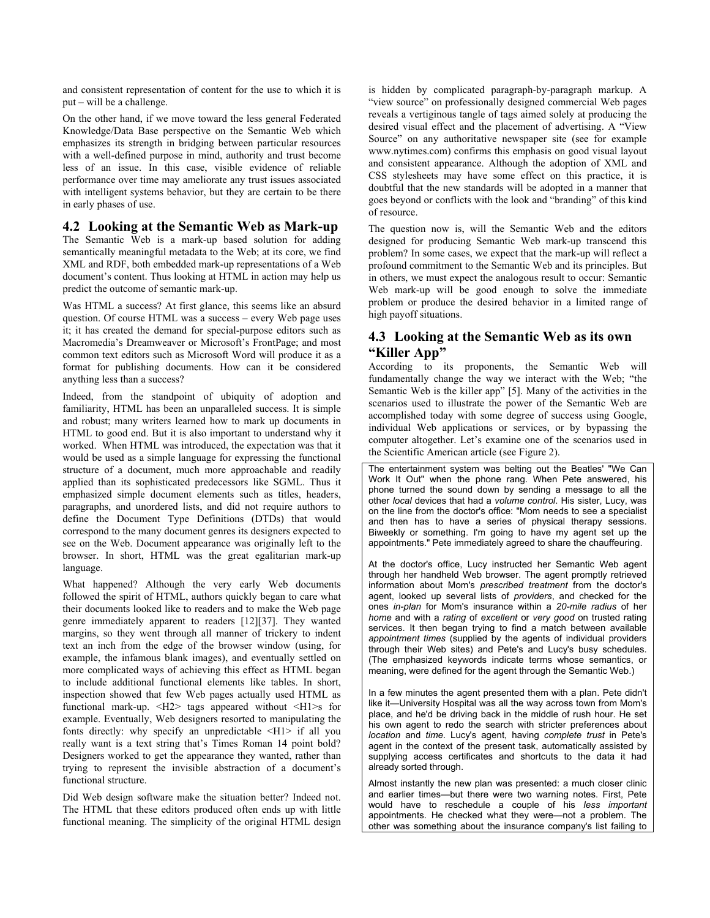and consistent representation of content for the use to which it is put – will be a challenge.

On the other hand, if we move toward the less general Federated Knowledge/Data Base perspective on the Semantic Web which emphasizes its strength in bridging between particular resources with a well-defined purpose in mind, authority and trust become less of an issue. In this case, visible evidence of reliable performance over time may ameliorate any trust issues associated with intelligent systems behavior, but they are certain to be there in early phases of use.

#### **4.2 Looking at the Semantic Web as Mark-up**

The Semantic Web is a mark-up based solution for adding semantically meaningful metadata to the Web; at its core, we find XML and RDF, both embedded mark-up representations of a Web document's content. Thus looking at HTML in action may help us predict the outcome of semantic mark-up.

Was HTML a success? At first glance, this seems like an absurd question. Of course HTML was a success – every Web page uses it; it has created the demand for special-purpose editors such as Macromedia's Dreamweaver or Microsoft's FrontPage; and most common text editors such as Microsoft Word will produce it as a format for publishing documents. How can it be considered anything less than a success?

Indeed, from the standpoint of ubiquity of adoption and familiarity, HTML has been an unparalleled success. It is simple and robust; many writers learned how to mark up documents in HTML to good end. But it is also important to understand why it worked. When HTML was introduced, the expectation was that it would be used as a simple language for expressing the functional structure of a document, much more approachable and readily applied than its sophisticated predecessors like SGML. Thus it emphasized simple document elements such as titles, headers, paragraphs, and unordered lists, and did not require authors to define the Document Type Definitions (DTDs) that would correspond to the many document genres its designers expected to see on the Web. Document appearance was originally left to the browser. In short, HTML was the great egalitarian mark-up language.

What happened? Although the very early Web documents followed the spirit of HTML, authors quickly began to care what their documents looked like to readers and to make the Web page genre immediately apparent to readers [12][37]. They wanted margins, so they went through all manner of trickery to indent text an inch from the edge of the browser window (using, for example, the infamous blank images), and eventually settled on more complicated ways of achieving this effect as HTML began to include additional functional elements like tables. In short, inspection showed that few Web pages actually used HTML as functional mark-up. <H2> tags appeared without <H1>s for example. Eventually, Web designers resorted to manipulating the fonts directly: why specify an unpredictable <H1> if all you really want is a text string that's Times Roman 14 point bold? Designers worked to get the appearance they wanted, rather than trying to represent the invisible abstraction of a document's functional structure.

Did Web design software make the situation better? Indeed not. The HTML that these editors produced often ends up with little functional meaning. The simplicity of the original HTML design

is hidden by complicated paragraph-by-paragraph markup. A "view source" on professionally designed commercial Web pages reveals a vertiginous tangle of tags aimed solely at producing the desired visual effect and the placement of advertising. A "View Source" on any authoritative newspaper site (see for example www.nytimes.com) confirms this emphasis on good visual layout and consistent appearance. Although the adoption of XML and CSS stylesheets may have some effect on this practice, it is doubtful that the new standards will be adopted in a manner that goes beyond or conflicts with the look and "branding" of this kind of resource.

The question now is, will the Semantic Web and the editors designed for producing Semantic Web mark-up transcend this problem? In some cases, we expect that the mark-up will reflect a profound commitment to the Semantic Web and its principles. But in others, we must expect the analogous result to occur: Semantic Web mark-up will be good enough to solve the immediate problem or produce the desired behavior in a limited range of high payoff situations.

## **4.3 Looking at the Semantic Web as its own "Killer App"**

According to its proponents, the Semantic Web will fundamentally change the way we interact with the Web; "the Semantic Web is the killer app" [5]. Many of the activities in the scenarios used to illustrate the power of the Semantic Web are accomplished today with some degree of success using Google, individual Web applications or services, or by bypassing the computer altogether. Let's examine one of the scenarios used in the Scientific American article (see Figure 2).

The entertainment system was belting out the Beatles' "We Can Work It Out" when the phone rang. When Pete answered, his phone turned the sound down by sending a message to all the other *local* devices that had a *volume control*. His sister, Lucy, was on the line from the doctor's office: "Mom needs to see a specialist and then has to have a series of physical therapy sessions. Biweekly or something. I'm going to have my agent set up the appointments." Pete immediately agreed to share the chauffeuring.

At the doctor's office, Lucy instructed her Semantic Web agent through her handheld Web browser. The agent promptly retrieved information about Mom's *prescribed treatment* from the doctor's agent, looked up several lists of *providers*, and checked for the ones *in-plan* for Mom's insurance within a *20-mile radius* of her *home* and with a *rating* of *excellent* or *very good* on trusted rating services. It then began trying to find a match between available *appointment times* (supplied by the agents of individual providers through their Web sites) and Pete's and Lucy's busy schedules. (The emphasized keywords indicate terms whose semantics, or meaning, were defined for the agent through the Semantic Web.)

In a few minutes the agent presented them with a plan. Pete didn't like it—University Hospital was all the way across town from Mom's place, and he'd be driving back in the middle of rush hour. He set his own agent to redo the search with stricter preferences about *location* and *time*. Lucy's agent, having *complete trust* in Pete's agent in the context of the present task, automatically assisted by supplying access certificates and shortcuts to the data it had already sorted through.

Almost instantly the new plan was presented: a much closer clinic and earlier times—but there were two warning notes. First, Pete would have to reschedule a couple of his *less important* appointments. He checked what they were—not a problem. The other was something about the insurance company's list failing to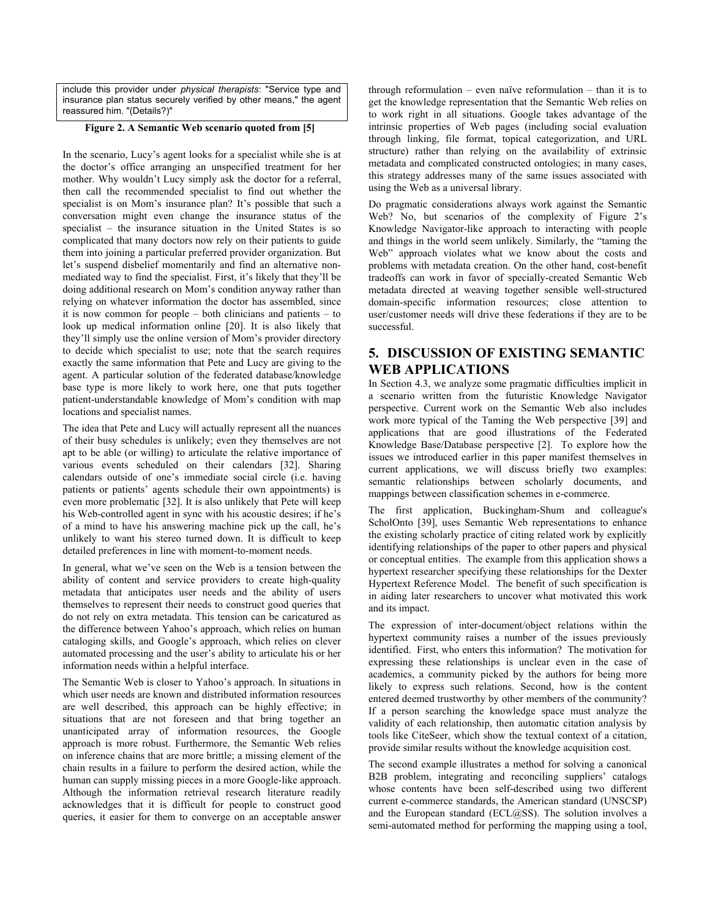include this provider under *physical therapists*: "Service type and insurance plan status securely verified by other means," the agent reassured him. "(Details?)"

## **Figure 2. A Semantic Web scenario quoted from [5]**

In the scenario, Lucy's agent looks for a specialist while she is at the doctor's office arranging an unspecified treatment for her mother. Why wouldn't Lucy simply ask the doctor for a referral, then call the recommended specialist to find out whether the specialist is on Mom's insurance plan? It's possible that such a conversation might even change the insurance status of the specialist – the insurance situation in the United States is so complicated that many doctors now rely on their patients to guide them into joining a particular preferred provider organization. But let's suspend disbelief momentarily and find an alternative nonmediated way to find the specialist. First, it's likely that they'll be doing additional research on Mom's condition anyway rather than relying on whatever information the doctor has assembled, since it is now common for people – both clinicians and patients – to look up medical information online [20]. It is also likely that they'll simply use the online version of Mom's provider directory to decide which specialist to use; note that the search requires exactly the same information that Pete and Lucy are giving to the agent. A particular solution of the federated database/knowledge base type is more likely to work here, one that puts together patient-understandable knowledge of Mom's condition with map locations and specialist names.

The idea that Pete and Lucy will actually represent all the nuances of their busy schedules is unlikely; even they themselves are not apt to be able (or willing) to articulate the relative importance of various events scheduled on their calendars [32]. Sharing calendars outside of one's immediate social circle (i.e. having patients or patients' agents schedule their own appointments) is even more problematic [32]. It is also unlikely that Pete will keep his Web-controlled agent in sync with his acoustic desires; if he's of a mind to have his answering machine pick up the call, he's unlikely to want his stereo turned down. It is difficult to keep detailed preferences in line with moment-to-moment needs.

In general, what we've seen on the Web is a tension between the ability of content and service providers to create high-quality metadata that anticipates user needs and the ability of users themselves to represent their needs to construct good queries that do not rely on extra metadata. This tension can be caricatured as the difference between Yahoo's approach, which relies on human cataloging skills, and Google's approach, which relies on clever automated processing and the user's ability to articulate his or her information needs within a helpful interface.

The Semantic Web is closer to Yahoo's approach. In situations in which user needs are known and distributed information resources are well described, this approach can be highly effective; in situations that are not foreseen and that bring together an unanticipated array of information resources, the Google approach is more robust. Furthermore, the Semantic Web relies on inference chains that are more brittle; a missing element of the chain results in a failure to perform the desired action, while the human can supply missing pieces in a more Google-like approach. Although the information retrieval research literature readily acknowledges that it is difficult for people to construct good queries, it easier for them to converge on an acceptable answer

through reformulation – even naïve reformulation – than it is to get the knowledge representation that the Semantic Web relies on to work right in all situations. Google takes advantage of the intrinsic properties of Web pages (including social evaluation through linking, file format, topical categorization, and URL structure) rather than relying on the availability of extrinsic metadata and complicated constructed ontologies; in many cases, this strategy addresses many of the same issues associated with using the Web as a universal library.

Do pragmatic considerations always work against the Semantic Web? No, but scenarios of the complexity of Figure 2's Knowledge Navigator-like approach to interacting with people and things in the world seem unlikely. Similarly, the "taming the Web" approach violates what we know about the costs and problems with metadata creation. On the other hand, cost-benefit tradeoffs can work in favor of specially-created Semantic Web metadata directed at weaving together sensible well-structured domain-specific information resources; close attention to user/customer needs will drive these federations if they are to be successful.

## **5. DISCUSSION OF EXISTING SEMANTIC WEB APPLICATIONS**

In Section 4.3, we analyze some pragmatic difficulties implicit in a scenario written from the futuristic Knowledge Navigator perspective. Current work on the Semantic Web also includes work more typical of the Taming the Web perspective [39] and applications that are good illustrations of the Federated Knowledge Base/Database perspective [2]. To explore how the issues we introduced earlier in this paper manifest themselves in current applications, we will discuss briefly two examples: semantic relationships between scholarly documents, and mappings between classification schemes in e-commerce.

The first application, Buckingham-Shum and colleague's ScholOnto [39], uses Semantic Web representations to enhance the existing scholarly practice of citing related work by explicitly identifying relationships of the paper to other papers and physical or conceptual entities. The example from this application shows a hypertext researcher specifying these relationships for the Dexter Hypertext Reference Model. The benefit of such specification is in aiding later researchers to uncover what motivated this work and its impact.

The expression of inter-document/object relations within the hypertext community raises a number of the issues previously identified. First, who enters this information? The motivation for expressing these relationships is unclear even in the case of academics, a community picked by the authors for being more likely to express such relations. Second, how is the content entered deemed trustworthy by other members of the community? If a person searching the knowledge space must analyze the validity of each relationship, then automatic citation analysis by tools like CiteSeer, which show the textual context of a citation, provide similar results without the knowledge acquisition cost.

The second example illustrates a method for solving a canonical B2B problem, integrating and reconciling suppliers' catalogs whose contents have been self-described using two different current e-commerce standards, the American standard (UNSCSP) and the European standard ( $ECL(\hat{a})$ SS). The solution involves a semi-automated method for performing the mapping using a tool,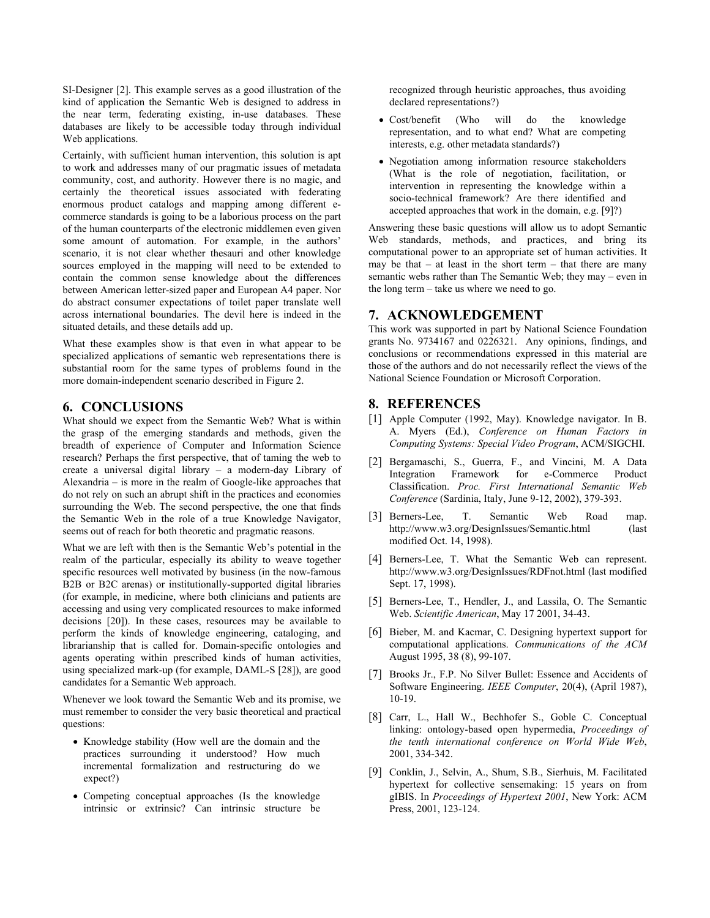SI-Designer [2]. This example serves as a good illustration of the kind of application the Semantic Web is designed to address in the near term, federating existing, in-use databases. These databases are likely to be accessible today through individual Web applications.

Certainly, with sufficient human intervention, this solution is apt to work and addresses many of our pragmatic issues of metadata community, cost, and authority. However there is no magic, and certainly the theoretical issues associated with federating enormous product catalogs and mapping among different ecommerce standards is going to be a laborious process on the part of the human counterparts of the electronic middlemen even given some amount of automation. For example, in the authors' scenario, it is not clear whether thesauri and other knowledge sources employed in the mapping will need to be extended to contain the common sense knowledge about the differences between American letter-sized paper and European A4 paper. Nor do abstract consumer expectations of toilet paper translate well across international boundaries. The devil here is indeed in the situated details, and these details add up.

What these examples show is that even in what appear to be specialized applications of semantic web representations there is substantial room for the same types of problems found in the more domain-independent scenario described in Figure 2.

## **6. CONCLUSIONS**

What should we expect from the Semantic Web? What is within the grasp of the emerging standards and methods, given the breadth of experience of Computer and Information Science research? Perhaps the first perspective, that of taming the web to create a universal digital library – a modern-day Library of Alexandria – is more in the realm of Google-like approaches that do not rely on such an abrupt shift in the practices and economies surrounding the Web. The second perspective, the one that finds the Semantic Web in the role of a true Knowledge Navigator, seems out of reach for both theoretic and pragmatic reasons.

What we are left with then is the Semantic Web's potential in the realm of the particular, especially its ability to weave together specific resources well motivated by business (in the now-famous B2B or B2C arenas) or institutionally-supported digital libraries (for example, in medicine, where both clinicians and patients are accessing and using very complicated resources to make informed decisions [20]). In these cases, resources may be available to perform the kinds of knowledge engineering, cataloging, and librarianship that is called for. Domain-specific ontologies and agents operating within prescribed kinds of human activities, using specialized mark-up (for example, DAML-S [28]), are good candidates for a Semantic Web approach.

Whenever we look toward the Semantic Web and its promise, we must remember to consider the very basic theoretical and practical questions:

- Knowledge stability (How well are the domain and the practices surrounding it understood? How much incremental formalization and restructuring do we expect?)
- Competing conceptual approaches (Is the knowledge intrinsic or extrinsic? Can intrinsic structure be

recognized through heuristic approaches, thus avoiding declared representations?)

- Cost/benefit (Who will do the knowledge representation, and to what end? What are competing interests, e.g. other metadata standards?)
- Negotiation among information resource stakeholders (What is the role of negotiation, facilitation, or intervention in representing the knowledge within a socio-technical framework? Are there identified and accepted approaches that work in the domain, e.g. [9]?)

Answering these basic questions will allow us to adopt Semantic Web standards, methods, and practices, and bring its computational power to an appropriate set of human activities. It may be that  $-$  at least in the short term  $-$  that there are many semantic webs rather than The Semantic Web; they may – even in the long term – take us where we need to go.

## **7. ACKNOWLEDGEMENT**

This work was supported in part by National Science Foundation grants No. 9734167 and 0226321. Any opinions, findings, and conclusions or recommendations expressed in this material are those of the authors and do not necessarily reflect the views of the National Science Foundation or Microsoft Corporation.

## **8. REFERENCES**

- [1] Apple Computer (1992, May). Knowledge navigator. In B. A. Myers (Ed.), *Conference on Human Factors in Computing Systems: Special Video Program*, ACM/SIGCHI.
- [2] Bergamaschi, S., Guerra, F., and Vincini, M. A Data Integration Framework for e-Commerce Product Classification. *Proc. First International Semantic Web Conference* (Sardinia, Italy, June 9-12, 2002), 379-393.
- [3] Berners-Lee, T. Semantic Web Road map. http://www.w3.org/DesignIssues/Semantic.html (last modified Oct. 14, 1998).
- [4] Berners-Lee, T. What the Semantic Web can represent. http://www.w3.org/DesignIssues/RDFnot.html (last modified Sept. 17, 1998).
- [5] Berners-Lee, T., Hendler, J., and Lassila, O. The Semantic Web. *Scientific American*, May 17 2001, 34-43.
- [6] Bieber, M. and Kacmar, C. Designing hypertext support for computational applications. *Communications of the ACM* August 1995, 38 (8), 99-107.
- [7] Brooks Jr., F.P. No Silver Bullet: Essence and Accidents of Software Engineering. *IEEE Computer*, 20(4), (April 1987), 10-19.
- [8] Carr, L., Hall W., Bechhofer S., Goble C. Conceptual linking: ontology-based open hypermedia, *Proceedings of the tenth international conference on World Wide Web*, 2001, 334-342.
- [9] Conklin, J., Selvin, A., Shum, S.B., Sierhuis, M. Facilitated hypertext for collective sensemaking: 15 years on from gIBIS. In *Proceedings of Hypertext 2001*, New York: ACM Press, 2001, 123-124.